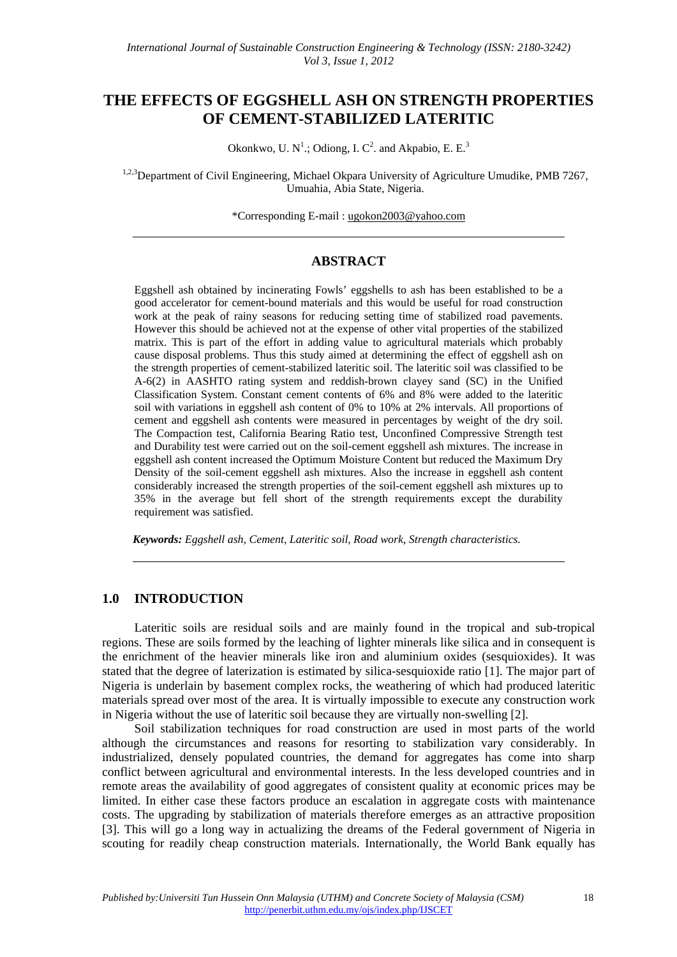# **THE EFFECTS OF EGGSHELL ASH ON STRENGTH PROPERTIES OF CEMENT-STABILIZED LATERITIC**

Okonkwo, U. N<sup>1</sup>.; Odiong, I. C<sup>2</sup>. and Akpabio, E. E.<sup>3</sup>

<sup>1,2,3</sup>Department of Civil Engineering, Michael Okpara University of Agriculture Umudike, PMB 7267, Umuahia, Abia State, Nigeria.

\*Corresponding E-mail : ugokon2003@yahoo.com

### **ABSTRACT**

Eggshell ash obtained by incinerating Fowls' eggshells to ash has been established to be a good accelerator for cement-bound materials and this would be useful for road construction work at the peak of rainy seasons for reducing setting time of stabilized road pavements. However this should be achieved not at the expense of other vital properties of the stabilized matrix. This is part of the effort in adding value to agricultural materials which probably cause disposal problems. Thus this study aimed at determining the effect of eggshell ash on the strength properties of cement-stabilized lateritic soil. The lateritic soil was classified to be A-6(2) in AASHTO rating system and reddish-brown clayey sand (SC) in the Unified Classification System. Constant cement contents of 6% and 8% were added to the lateritic soil with variations in eggshell ash content of 0% to 10% at 2% intervals. All proportions of cement and eggshell ash contents were measured in percentages by weight of the dry soil. The Compaction test, California Bearing Ratio test, Unconfined Compressive Strength test and Durability test were carried out on the soil-cement eggshell ash mixtures. The increase in eggshell ash content increased the Optimum Moisture Content but reduced the Maximum Dry Density of the soil-cement eggshell ash mixtures. Also the increase in eggshell ash content considerably increased the strength properties of the soil-cement eggshell ash mixtures up to 35% in the average but fell short of the strength requirements except the durability requirement was satisfied.

*Keywords: Eggshell ash, Cement, Lateritic soil, Road work, Strength characteristics.* 

#### **1.0 INTRODUCTION**

Lateritic soils are residual soils and are mainly found in the tropical and sub-tropical regions. These are soils formed by the leaching of lighter minerals like silica and in consequent is the enrichment of the heavier minerals like iron and aluminium oxides (sesquioxides). It was stated that the degree of laterization is estimated by silica-sesquioxide ratio [1]. The major part of Nigeria is underlain by basement complex rocks, the weathering of which had produced lateritic materials spread over most of the area. It is virtually impossible to execute any construction work in Nigeria without the use of lateritic soil because they are virtually non-swelling [2].

Soil stabilization techniques for road construction are used in most parts of the world although the circumstances and reasons for resorting to stabilization vary considerably. In industrialized, densely populated countries, the demand for aggregates has come into sharp conflict between agricultural and environmental interests. In the less developed countries and in remote areas the availability of good aggregates of consistent quality at economic prices may be limited. In either case these factors produce an escalation in aggregate costs with maintenance costs. The upgrading by stabilization of materials therefore emerges as an attractive proposition [3]. This will go a long way in actualizing the dreams of the Federal government of Nigeria in scouting for readily cheap construction materials. Internationally, the World Bank equally has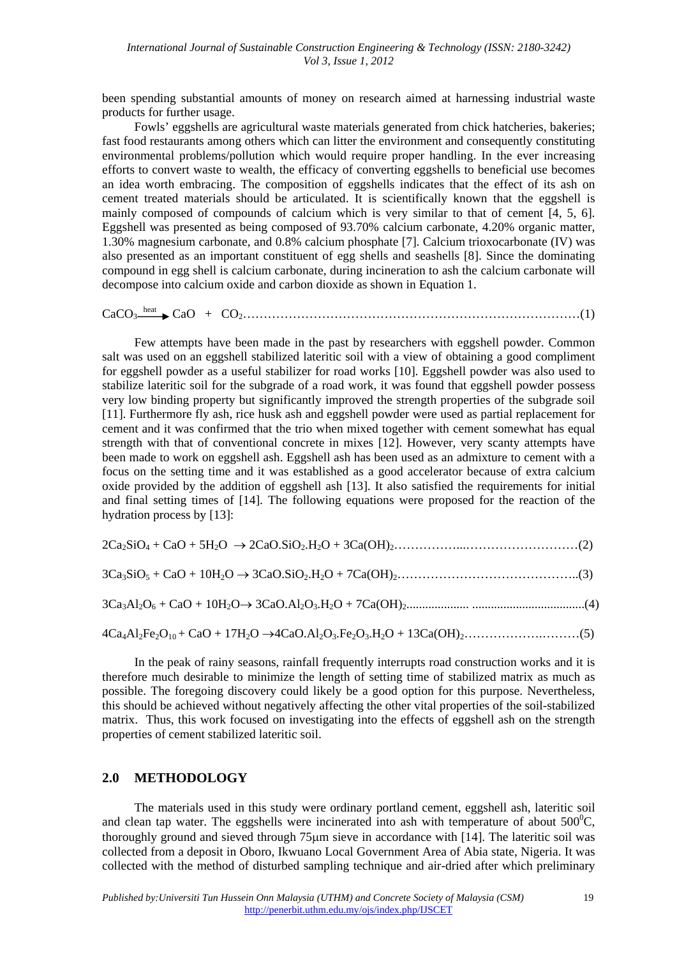been spending substantial amounts of money on research aimed at harnessing industrial waste products for further usage.

Fowls' eggshells are agricultural waste materials generated from chick hatcheries, bakeries; fast food restaurants among others which can litter the environment and consequently constituting environmental problems/pollution which would require proper handling. In the ever increasing efforts to convert waste to wealth, the efficacy of converting eggshells to beneficial use becomes an idea worth embracing. The composition of eggshells indicates that the effect of its ash on cement treated materials should be articulated. It is scientifically known that the eggshell is mainly composed of compounds of calcium which is very similar to that of cement [4, 5, 6]. Eggshell was presented as being composed of 93.70% calcium carbonate, 4.20% organic matter, 1.30% magnesium carbonate, and 0.8% calcium phosphate [7]. Calcium trioxocarbonate (IV) was also presented as an important constituent of egg shells and seashells [8]. Since the dominating compound in egg shell is calcium carbonate, during incineration to ash the calcium carbonate will decompose into calcium oxide and carbon dioxide as shown in Equation 1.

CaCO3 heat CaO + CO2………………………………………………………………………(1)

Few attempts have been made in the past by researchers with eggshell powder. Common salt was used on an eggshell stabilized lateritic soil with a view of obtaining a good compliment for eggshell powder as a useful stabilizer for road works [10]. Eggshell powder was also used to stabilize lateritic soil for the subgrade of a road work, it was found that eggshell powder possess very low binding property but significantly improved the strength properties of the subgrade soil [11]. Furthermore fly ash, rice husk ash and eggshell powder were used as partial replacement for cement and it was confirmed that the trio when mixed together with cement somewhat has equal strength with that of conventional concrete in mixes [12]. However, very scanty attempts have been made to work on eggshell ash. Eggshell ash has been used as an admixture to cement with a focus on the setting time and it was established as a good accelerator because of extra calcium oxide provided by the addition of eggshell ash [13]. It also satisfied the requirements for initial and final setting times of [14]. The following equations were proposed for the reaction of the hydration process by [13]:

|--|--|--|

3Ca3SiO5 + CaO + 10H2O 3CaO.SiO2.H2O + 7Ca(OH)2……………………………………..(3)

3Ca3Al2O6 + CaO + 10H2O 3CaO.Al2O3.H2O + 7Ca(OH)2.................... ....................................(4)

$$
4Ca_4Al_2Fe_2O_{10} + CaO + 17H_2O \rightarrow 4CaO. Al_2O_3. Fe_2O_3.H_2O + 13Ca(OH)_2. \dots . \dots . \dots . \dots . \dots . (5)
$$

In the peak of rainy seasons, rainfall frequently interrupts road construction works and it is therefore much desirable to minimize the length of setting time of stabilized matrix as much as possible. The foregoing discovery could likely be a good option for this purpose. Nevertheless, this should be achieved without negatively affecting the other vital properties of the soil-stabilized matrix. Thus, this work focused on investigating into the effects of eggshell ash on the strength properties of cement stabilized lateritic soil.

#### **2.0 METHODOLOGY**

The materials used in this study were ordinary portland cement, eggshell ash, lateritic soil and clean tap water. The eggshells were incinerated into ash with temperature of about  $500^{\circ}$ C, thoroughly ground and sieved through 75 $\mu$ m sieve in accordance with [14]. The lateritic soil was collected from a deposit in Oboro, Ikwuano Local Government Area of Abia state, Nigeria. It was collected with the method of disturbed sampling technique and air-dried after which preliminary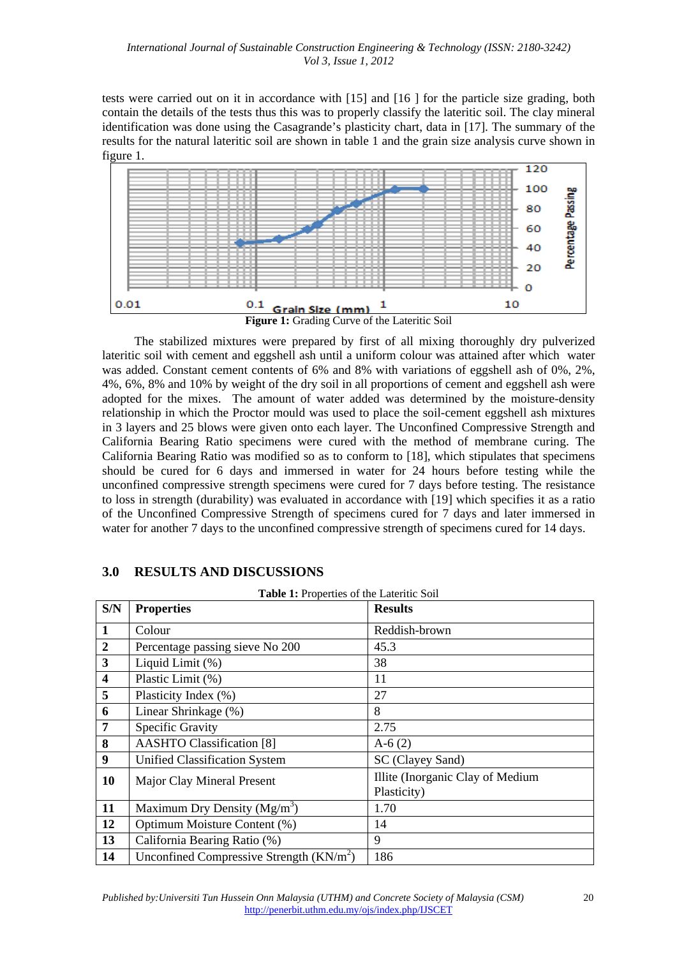tests were carried out on it in accordance with [15] and [16 ] for the particle size grading, both contain the details of the tests thus this was to properly classify the lateritic soil. The clay mineral identification was done using the Casagrande's plasticity chart, data in [17]. The summary of the results for the natural lateritic soil are shown in table 1 and the grain size analysis curve shown in figure 1.



The stabilized mixtures were prepared by first of all mixing thoroughly dry pulverized lateritic soil with cement and eggshell ash until a uniform colour was attained after which water was added. Constant cement contents of 6% and 8% with variations of eggshell ash of 0%, 2%, 4%, 6%, 8% and 10% by weight of the dry soil in all proportions of cement and eggshell ash were adopted for the mixes. The amount of water added was determined by the moisture-density relationship in which the Proctor mould was used to place the soil-cement eggshell ash mixtures in 3 layers and 25 blows were given onto each layer. The Unconfined Compressive Strength and California Bearing Ratio specimens were cured with the method of membrane curing. The California Bearing Ratio was modified so as to conform to [18], which stipulates that specimens should be cured for 6 days and immersed in water for 24 hours before testing while the unconfined compressive strength specimens were cured for 7 days before testing. The resistance to loss in strength (durability) was evaluated in accordance with [19] which specifies it as a ratio of the Unconfined Compressive Strength of specimens cured for 7 days and later immersed in water for another 7 days to the unconfined compressive strength of specimens cured for 14 days.

| <b>Table 1:</b> Properties of the Lateritic Soil |                                            |                                                 |  |  |  |
|--------------------------------------------------|--------------------------------------------|-------------------------------------------------|--|--|--|
| S/N                                              | <b>Properties</b>                          | <b>Results</b>                                  |  |  |  |
| 1                                                | Colour                                     | Reddish-brown                                   |  |  |  |
| $\overline{2}$                                   | Percentage passing sieve No 200            | 45.3                                            |  |  |  |
| $\mathbf{3}$                                     | Liquid Limit (%)                           | 38                                              |  |  |  |
| $\overline{\mathbf{4}}$                          | Plastic Limit (%)                          | 11                                              |  |  |  |
| 5                                                | Plasticity Index (%)                       | 27                                              |  |  |  |
| 6                                                | Linear Shrinkage (%)                       | 8                                               |  |  |  |
| $\overline{7}$                                   | Specific Gravity                           | 2.75                                            |  |  |  |
| 8                                                | <b>AASHTO Classification [8]</b>           | $A-6(2)$                                        |  |  |  |
| $\boldsymbol{9}$                                 | <b>Unified Classification System</b>       | SC (Clayey Sand)                                |  |  |  |
| 10                                               | Major Clay Mineral Present                 | Illite (Inorganic Clay of Medium<br>Plasticity) |  |  |  |
| 11                                               | Maximum Dry Density $(Mg/m3)$              | 1.70                                            |  |  |  |
| 12                                               | Optimum Moisture Content (%)               | 14                                              |  |  |  |
| 13                                               | California Bearing Ratio (%)               | 9                                               |  |  |  |
| 14                                               | Unconfined Compressive Strength $(KN/m^2)$ | 186                                             |  |  |  |

## **3.0 RESULTS AND DISCUSSIONS**

**Table 1:** Properties of the Lateritic Soil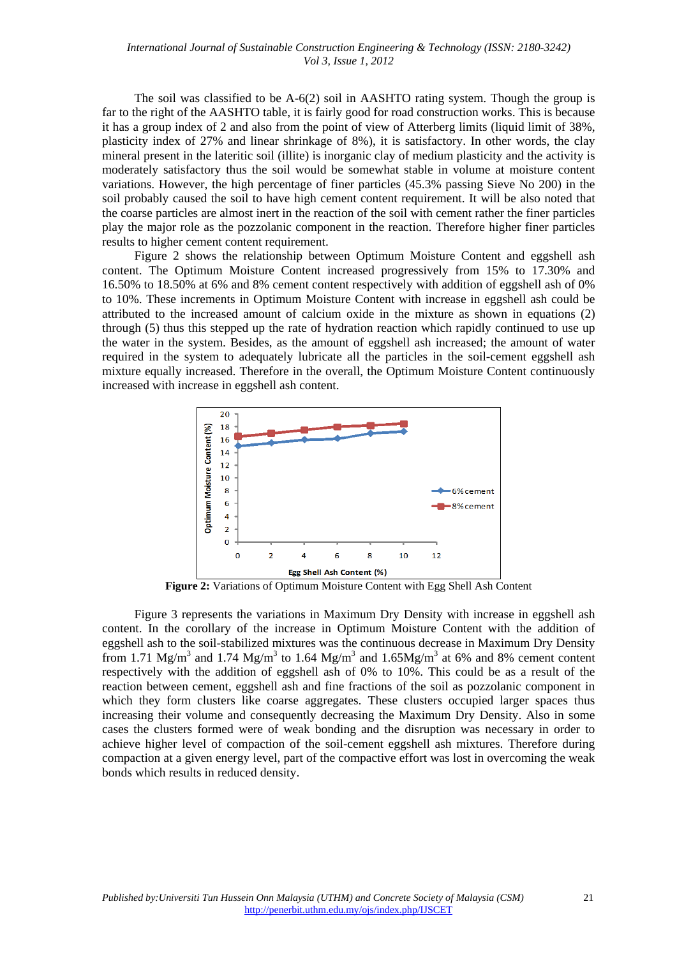The soil was classified to be A-6(2) soil in AASHTO rating system. Though the group is far to the right of the AASHTO table, it is fairly good for road construction works. This is because it has a group index of 2 and also from the point of view of Atterberg limits (liquid limit of 38%, plasticity index of 27% and linear shrinkage of 8%), it is satisfactory. In other words, the clay mineral present in the lateritic soil (illite) is inorganic clay of medium plasticity and the activity is moderately satisfactory thus the soil would be somewhat stable in volume at moisture content variations. However, the high percentage of finer particles (45.3% passing Sieve No 200) in the soil probably caused the soil to have high cement content requirement. It will be also noted that the coarse particles are almost inert in the reaction of the soil with cement rather the finer particles play the major role as the pozzolanic component in the reaction. Therefore higher finer particles results to higher cement content requirement.

Figure 2 shows the relationship between Optimum Moisture Content and eggshell ash content. The Optimum Moisture Content increased progressively from 15% to 17.30% and 16.50% to 18.50% at 6% and 8% cement content respectively with addition of eggshell ash of 0% to 10%. These increments in Optimum Moisture Content with increase in eggshell ash could be attributed to the increased amount of calcium oxide in the mixture as shown in equations (2) through (5) thus this stepped up the rate of hydration reaction which rapidly continued to use up the water in the system. Besides, as the amount of eggshell ash increased; the amount of water required in the system to adequately lubricate all the particles in the soil-cement eggshell ash mixture equally increased. Therefore in the overall, the Optimum Moisture Content continuously increased with increase in eggshell ash content.



**Figure 2:** Variations of Optimum Moisture Content with Egg Shell Ash Content

Figure 3 represents the variations in Maximum Dry Density with increase in eggshell ash content. In the corollary of the increase in Optimum Moisture Content with the addition of eggshell ash to the soil-stabilized mixtures was the continuous decrease in Maximum Dry Density from 1.71 Mg/m<sup>3</sup> and 1.74 Mg/m<sup>3</sup> to 1.64 Mg/m<sup>3</sup> and 1.65Mg/m<sup>3</sup> at 6% and 8% cement content respectively with the addition of eggshell ash of 0% to 10%. This could be as a result of the reaction between cement, eggshell ash and fine fractions of the soil as pozzolanic component in which they form clusters like coarse aggregates. These clusters occupied larger spaces thus increasing their volume and consequently decreasing the Maximum Dry Density. Also in some cases the clusters formed were of weak bonding and the disruption was necessary in order to achieve higher level of compaction of the soil-cement eggshell ash mixtures. Therefore during compaction at a given energy level, part of the compactive effort was lost in overcoming the weak bonds which results in reduced density.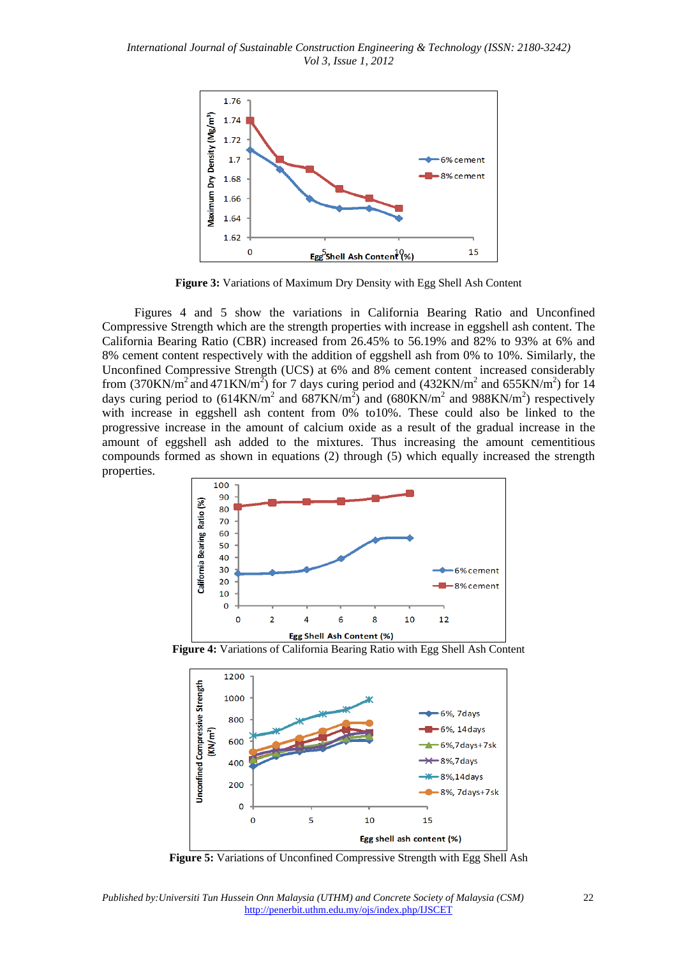*International Journal of Sustainable Construction Engineering & Technology (ISSN: 2180-3242) Vol 3, Issue 1, 2012* 



**Figure 3:** Variations of Maximum Dry Density with Egg Shell Ash Content

Figures 4 and 5 show the variations in California Bearing Ratio and Unconfined Compressive Strength which are the strength properties with increase in eggshell ash content. The California Bearing Ratio (CBR) increased from 26.45% to 56.19% and 82% to 93% at 6% and 8% cement content respectively with the addition of eggshell ash from 0% to 10%. Similarly, the Unconfined Compressive Strength (UCS) at 6% and 8% cement content increased considerably from (370KN/m<sup>2</sup> and 471KN/m<sup>2</sup>) for 7 days curing period and (432KN/m<sup>2</sup> and 655KN/m<sup>2</sup>) for 14 days curing period to  $(614KN/m^2$  and  $687KN/m^2$ ) and  $(680KN/m^2$  and  $988KN/m^2$ ) respectively with increase in eggshell ash content from 0% to10%. These could also be linked to the progressive increase in the amount of calcium oxide as a result of the gradual increase in the amount of eggshell ash added to the mixtures. Thus increasing the amount cementitious compounds formed as shown in equations (2) through (5) which equally increased the strength properties.



**Figure 4:** Variations of California Bearing Ratio with Egg Shell Ash Content



**Figure 5:** Variations of Unconfined Compressive Strength with Egg Shell Ash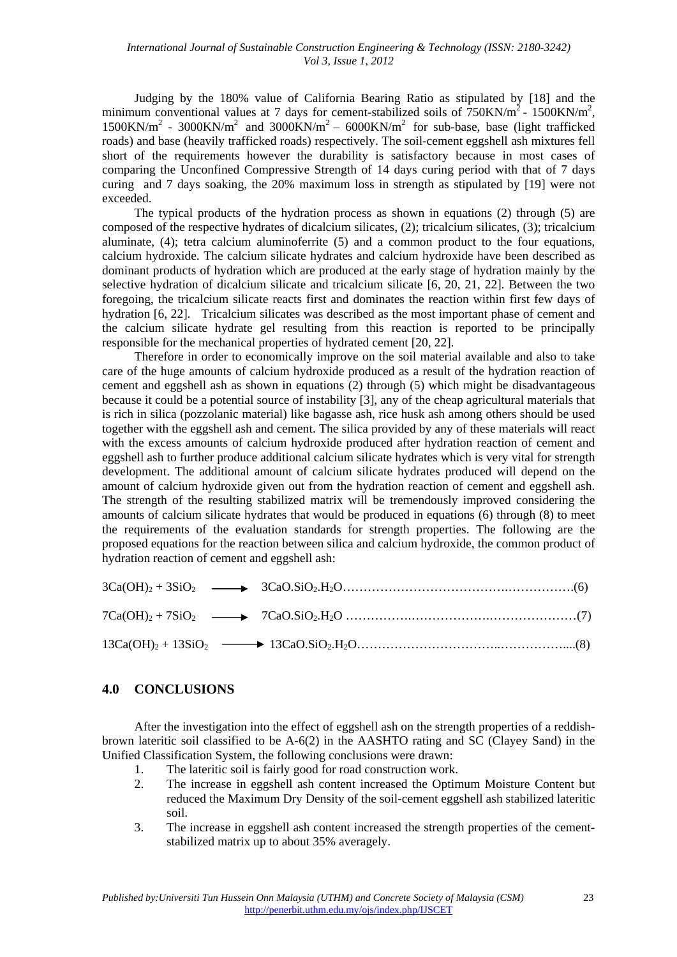Judging by the 180% value of California Bearing Ratio as stipulated by [18] and the minimum conventional values at 7 days for cement-stabilized soils of  $750 \text{KN/m}^2$  - 1500 KN/m<sup>2</sup>,  $1500$ KN/m<sup>2</sup> - 3000KN/m<sup>2</sup> and 3000KN/m<sup>2</sup> – 6000KN/m<sup>2</sup> for sub-base, base (light trafficked roads) and base (heavily trafficked roads) respectively. The soil-cement eggshell ash mixtures fell short of the requirements however the durability is satisfactory because in most cases of comparing the Unconfined Compressive Strength of 14 days curing period with that of 7 days curing and 7 days soaking, the 20% maximum loss in strength as stipulated by [19] were not exceeded.

The typical products of the hydration process as shown in equations (2) through (5) are composed of the respective hydrates of dicalcium silicates, (2); tricalcium silicates, (3); tricalcium aluminate, (4); tetra calcium aluminoferrite (5) and a common product to the four equations, calcium hydroxide. The calcium silicate hydrates and calcium hydroxide have been described as dominant products of hydration which are produced at the early stage of hydration mainly by the selective hydration of dicalcium silicate and tricalcium silicate [6, 20, 21, 22]. Between the two foregoing, the tricalcium silicate reacts first and dominates the reaction within first few days of hydration [6, 22]. Tricalcium silicates was described as the most important phase of cement and the calcium silicate hydrate gel resulting from this reaction is reported to be principally responsible for the mechanical properties of hydrated cement [20, 22].

Therefore in order to economically improve on the soil material available and also to take care of the huge amounts of calcium hydroxide produced as a result of the hydration reaction of cement and eggshell ash as shown in equations (2) through (5) which might be disadvantageous because it could be a potential source of instability [3], any of the cheap agricultural materials that is rich in silica (pozzolanic material) like bagasse ash, rice husk ash among others should be used together with the eggshell ash and cement. The silica provided by any of these materials will react with the excess amounts of calcium hydroxide produced after hydration reaction of cement and eggshell ash to further produce additional calcium silicate hydrates which is very vital for strength development. The additional amount of calcium silicate hydrates produced will depend on the amount of calcium hydroxide given out from the hydration reaction of cement and eggshell ash. The strength of the resulting stabilized matrix will be tremendously improved considering the amounts of calcium silicate hydrates that would be produced in equations (6) through (8) to meet the requirements of the evaluation standards for strength properties. The following are the proposed equations for the reaction between silica and calcium hydroxide, the common product of hydration reaction of cement and eggshell ash:

## **4.0 CONCLUSIONS**

After the investigation into the effect of eggshell ash on the strength properties of a reddishbrown lateritic soil classified to be A-6(2) in the AASHTO rating and SC (Clayey Sand) in the Unified Classification System, the following conclusions were drawn:

- 1. The lateritic soil is fairly good for road construction work.
- 2. The increase in eggshell ash content increased the Optimum Moisture Content but reduced the Maximum Dry Density of the soil-cement eggshell ash stabilized lateritic soil.
- 3. The increase in eggshell ash content increased the strength properties of the cementstabilized matrix up to about 35% averagely.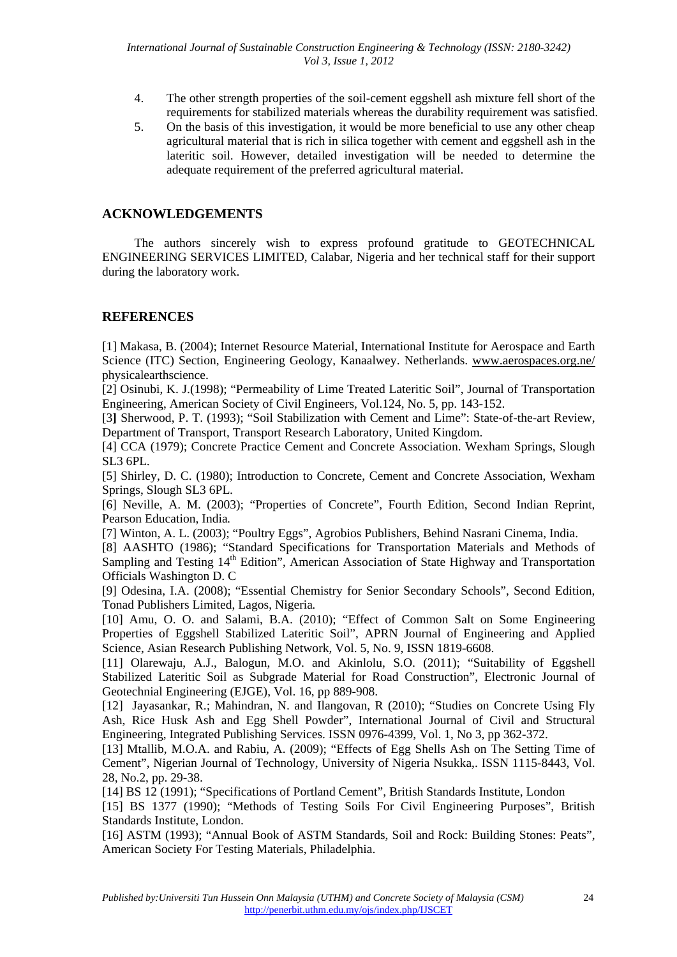- 4. The other strength properties of the soil-cement eggshell ash mixture fell short of the requirements for stabilized materials whereas the durability requirement was satisfied.
- 5. On the basis of this investigation, it would be more beneficial to use any other cheap agricultural material that is rich in silica together with cement and eggshell ash in the lateritic soil. However, detailed investigation will be needed to determine the adequate requirement of the preferred agricultural material.

## **ACKNOWLEDGEMENTS**

 The authors sincerely wish to express profound gratitude to GEOTECHNICAL ENGINEERING SERVICES LIMITED, Calabar, Nigeria and her technical staff for their support during the laboratory work.

### **REFERENCES**

[1] Makasa, B. (2004); Internet Resource Material, International Institute for Aerospace and Earth Science (ITC) Section, Engineering Geology, Kanaalwey. Netherlands. www.aerospaces.org.ne/ physicalearthscience.

[2] Osinubi, K. J.(1998); "Permeability of Lime Treated Lateritic Soil", Journal of Transportation Engineering, American Society of Civil Engineers*,* Vol.124, No. 5, pp. 143-152.

[3**]** Sherwood, P. T. (1993); "Soil Stabilization with Cement and Lime": State-of-the-art Review, Department of Transport, Transport Research Laboratory, United Kingdom.

[4] CCA (1979); Concrete Practice Cement and Concrete Association. Wexham Springs, Slough SL3 6PL*.*

[5] Shirley, D. C. (1980); Introduction to Concrete, Cement and Concrete Association, Wexham Springs, Slough SL3 6PL*.*

[6] Neville, A. M. (2003); "Properties of Concrete", Fourth Edition, Second Indian Reprint, Pearson Education, India*.*

[7] Winton, A. L. (2003); "Poultry Eggs", Agrobios Publishers, Behind Nasrani Cinema, India.

[8] AASHTO (1986); "Standard Specifications for Transportation Materials and Methods of Sampling and Testing 14<sup>th</sup> Edition", American Association of State Highway and Transportation Officials Washington D. C

[9] Odesina, I.A. (2008); "Essential Chemistry for Senior Secondary Schools", Second Edition, Tonad Publishers Limited, Lagos, Nigeria*.*

[10] Amu, O. O. and Salami, B.A. (2010); "Effect of Common Salt on Some Engineering Properties of Eggshell Stabilized Lateritic Soil", APRN Journal of Engineering and Applied Science, Asian Research Publishing Network*,* Vol. 5, No. 9, ISSN 1819-6608.

[11] Olarewaju, A.J., Balogun, M.O. and Akinlolu, S.O. (2011); "Suitability of Eggshell Stabilized Lateritic Soil as Subgrade Material for Road Construction", Electronic Journal of Geotechnial Engineering (EJGE), Vol. 16, pp 889-908.

[12] Jayasankar, R.; Mahindran, N. and Ilangovan, R (2010); "Studies on Concrete Using Fly Ash, Rice Husk Ash and Egg Shell Powder", International Journal of Civil and Structural Engineering, Integrated Publishing Services. ISSN 0976-4399, Vol. 1, No 3, pp 362-372.

[13] Mtallib, M.O.A. and Rabiu, A. (2009); "Effects of Egg Shells Ash on The Setting Time of Cement", Nigerian Journal of Technology, University of Nigeria Nsukka,. ISSN 1115-8443, Vol. 28, No.2, pp. 29-38.

[14] BS 12 (1991); "Specifications of Portland Cement", British Standards Institute, London

[15] BS 1377 (1990); "Methods of Testing Soils For Civil Engineering Purposes", British Standards Institute, London.

[16] ASTM (1993); "Annual Book of ASTM Standards, Soil and Rock: Building Stones: Peats", American Society For Testing Materials, Philadelphia.